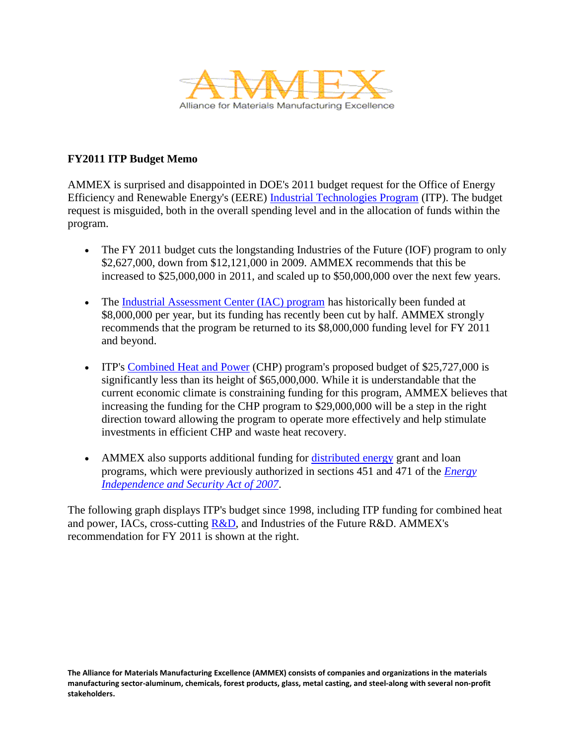

## **FY2011 ITP Budget Memo**

AMMEX is surprised and disappointed in DOE's 2011 budget request for the Office of Energy Efficiency and Renewable Energy's (EERE) [Industrial Technologies Program](http://www.aceee.org/topics/itp) (ITP). The budget request is misguided, both in the overall spending level and in the allocation of funds within the program.

- The FY 2011 budget cuts the longstanding Industries of the Future (IOF) program to only \$2,627,000, down from \$12,121,000 in 2009. AMMEX recommends that this be increased to \$25,000,000 in 2011, and scaled up to \$50,000,000 over the next few years.
- The [Industrial Assessment Center \(IAC\) program](http://www.aceee.org/topics/iac) has historically been funded at \$8,000,000 per year, but its funding has recently been cut by half. AMMEX strongly recommends that the program be returned to its \$8,000,000 funding level for FY 2011 and beyond.
- ITP's [Combined Heat and Power](http://www.aceee.org/topics/chp) (CHP) program's proposed budget of \$25,727,000 is significantly less than its height of \$65,000,000. While it is understandable that the current economic climate is constraining funding for this program, AMMEX believes that increasing the funding for the CHP program to \$29,000,000 will be a step in the right direction toward allowing the program to operate more effectively and help stimulate investments in efficient CHP and waste heat recovery.
- AMMEX also supports additional funding for [distributed energy](http://www.aceee.org/topics/distributed-energy) grant and loan programs, which were previously authorized in sections 451 and 471 of the *[Energy](http://www.aceee.org/topics/energy-independence-and-security-act-2007)  [Independence and Security Act of 2007](http://www.aceee.org/topics/energy-independence-and-security-act-2007)*.

The following graph displays ITP's budget since 1998, including ITP funding for combined heat and power, IACs, cross-cutting  $R&D$ , and Industries of the Future R&D. AMMEX's recommendation for FY 2011 is shown at the right.

**The Alliance for Materials Manufacturing Excellence (AMMEX) consists of companies and organizations in the materials manufacturing sector-aluminum, chemicals, forest products, glass, metal casting, and steel-along with several non-profit stakeholders.**